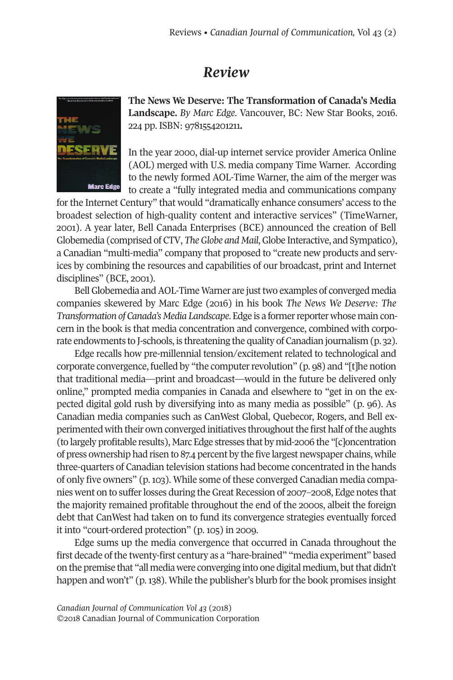## *Review*



**The News We Deserve: The Transformation of Canada's Media Landscape.** *By Marc Edge*. Vancouver, BC: New Star Books, 2016. 224 pp. ISBN: 9781554201211**.**

In the year 2000, dial-up internet service provider America Online (AOL) merged with U.S. media company Time Warner. According to the newly formed AOL-Time Warner, the aim of the merger was to create a "fully integrated media and communications company

forthe Internet Century" that would "dramatically enhance consumers' access to the broadest selection of high-quality content and interactive services" (TimeWarner, 2001). A year later, Bell Canada Enterprises (BCE) announced the creation of Bell Globemedia (comprised of CTV, *TheGlobe and Mail*,Globe Interactive, and Sympatico), a Canadian "multi-media" company that proposed to "create new products and services by combining the resources and capabilities of our broadcast, print and Internet disciplines" (BCE, 2001).

Bell Globemedia and AOL-Time Warner are just two examples of converged media companies skewered by Marc Edge (2016) in his book *The News We Deserve: The Transformation of Canada's Media Landscape*. Edge is a formerreporter whose main concern in the book is that media concentration and convergence, combined with corporate endowments to J-schools, is threatening the quality of Canadian journalism (p. 32).

Edge recalls how pre-millennial tension/excitement related to technological and corporate convergence, fuelled by "the computerrevolution" (p. 98) and "[t]he notion that traditional media—print and broadcast—would in the future be delivered only online," prompted media companies in Canada and elsewhere to "get in on the expected digital gold rush by diversifying into as many media as possible" (p. 96). As Canadian media companies such as CanWest Global, Quebecor, Rogers, and Bell experimented with their own converged initiatives throughout the first half of the aughts (to largely profitable results), Marc Edge stresses that by mid-2006 the "[c]oncentration of press ownership had risen to 87.4 percent by the five largest newspaper chains, while three-quarters of Canadian television stations had become concentrated in the hands of only five owners" (p.103). While some of these converged Canadian media companies went on to sufferlosses during theGreat Recession of 2007–2008, Edge notes that the majority remained profitable throughout the end of the 2000s, albeit the foreign debt that CanWest had taken on to fund its convergence strategies eventually forced it into "court-ordered protection" (p. 105) in 2009.

Edge sums up the media convergence that occurred in Canada throughout the first decade of the twenty-first century as a "hare-brained" "media experiment" based on the premise that "all media were converging into one digital medium, butthat didn't happen and won't" (p.138). While the publisher's blurb forthe book promises insight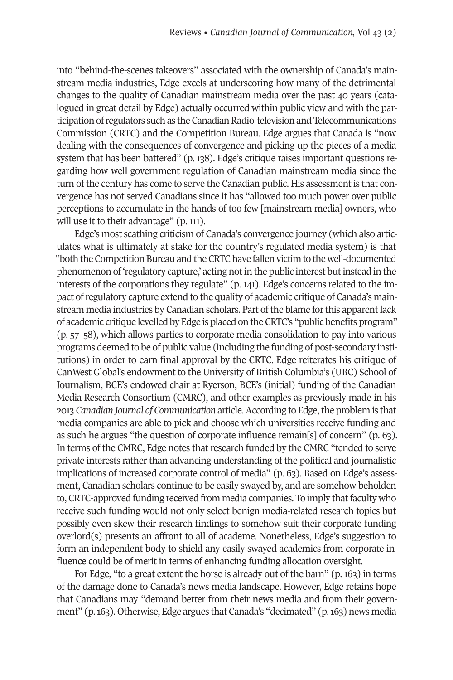into "behind-the-scenes takeovers" associated with the ownership of Canada's mainstream media industries, Edge excels at underscoring how many of the detrimental changes to the quality of Canadian mainstream media over the past 40 years (catalogued in great detail by Edge) actually occurred within public view and with the participation ofregulators such as the CanadianRadio-television and Telecommunications Commission (CRTC) and the Competition Bureau. Edge argues that Canada is "now dealing with the consequences of convergence and picking up the pieces of a media system that has been battered" (p. 138). Edge's critique raises important questions regarding how well government regulation of Canadian mainstream media since the turn of the century has come to serve the Canadian public. His assessment is that convergence has not served Canadians since it has "allowed too much power over public perceptions to accumulate in the hands of too few [mainstream media] owners, who will use it to their advantage" (p. 111).

Edge's most scathing criticism of Canada's convergence journey (which also articulates what is ultimately at stake for the country's regulated media system) is that "both the Competition Bureau and the CRTC have fallen victim to the well-documented phenomenon of 'regulatory capture,' acting not in the public interest but instead in the interests of the corporations they regulate" (p. 141). Edge's concerns related to the impact ofregulatory capture extend to the quality of academic critique of Canada's mainstream media industries by Canadian scholars. Part of the blame for this apparent lack of academic critique levelled by Edge is placed on the CRTC's "public benefits program" (p. 57–58), which allows parties to corporate media consolidation to pay into various programs deemed to be of public value (including the funding of post-secondary institutions) in order to earn final approval by the CRTC. Edge reiterates his critique of CanWest Global's endowment to the University of British Columbia's (UBC) School of Journalism, BCE's endowed chair at Ryerson, BCE's (initial) funding of the Canadian Media Research Consortium (CMRC), and other examples as previously made in his 2013 *Canadian Journal of Communication* article.According to Edge,the problem is that media companies are able to pick and choose which universities receive funding and as such he argues "the question of corporate influence remain[s] of concern" (p. 63). In terms of the CMRC, Edge notes that research funded by the CMRC "tended to serve private interests rather than advancing understanding of the political and journalistic implications of increased corporate control of media" (p. 63). Based on Edge's assessment, Canadian scholars continue to be easily swayed by, and are somehow beholden to, CRTC-approved funding received from media companies. To imply that faculty who receive such funding would not only select benign media-related research topics but possibly even skew their research findings to somehow suit their corporate funding overlord(s) presents an affront to all of academe. Nonetheless, Edge's suggestion to form an independent body to shield any easily swayed academics from corporate influence could be of merit in terms of enhancing funding allocation oversight.

For Edge, "to a great extent the horse is already out of the barn" (p. 163) in terms of the damage done to Canada's news media landscape. However, Edge retains hope that Canadians may "demand better from their news media and from their government" (p.163). Otherwise, Edge argues that Canada's "decimated" (p.163) news media